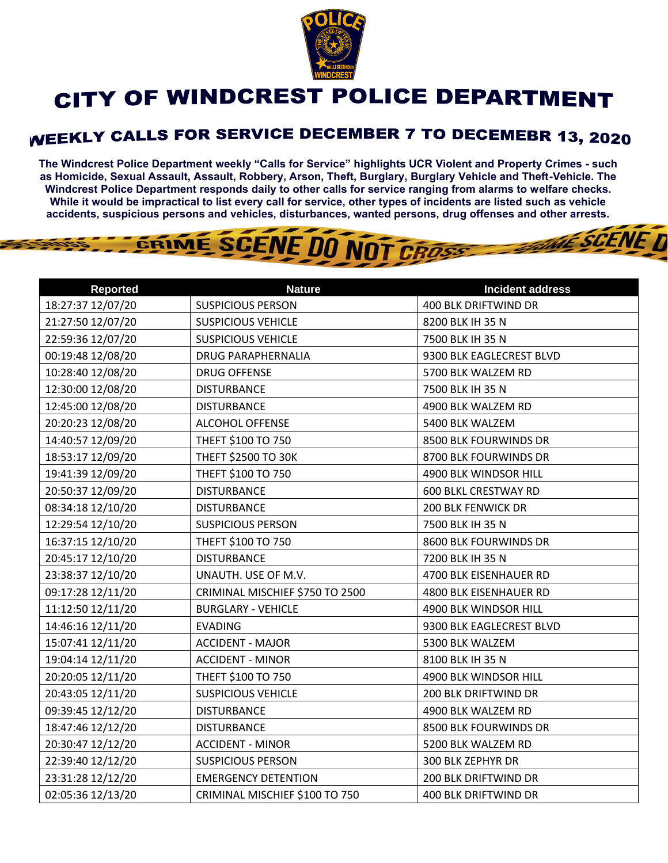

## CITY OF WINDCREST POLICE DEPARTMENT

## **WEEKLY CALLS FOR SERVICE DECEMBER 7 TO DECEMEBR 13, 2020**

**The Windcrest Police Department weekly "Calls for Service" highlights UCR Violent and Property Crimes - such as Homicide, Sexual Assault, Assault, Robbery, Arson, Theft, Burglary, Burglary Vehicle and Theft-Vehicle. The Windcrest Police Department responds daily to other calls for service ranging from alarms to welfare checks. While it would be impractical to list every call for service, other types of incidents are listed such as vehicle accidents, suspicious persons and vehicles, disturbances, wanted persons, drug offenses and other arrests.** 

**THE SCENE D** 

## GRIME SCENE DO NOT CROSS

| <b>Reported</b>   | <b>Nature</b>                   | <b>Incident address</b>     |
|-------------------|---------------------------------|-----------------------------|
| 18:27:37 12/07/20 | <b>SUSPICIOUS PERSON</b>        | 400 BLK DRIFTWIND DR        |
| 21:27:50 12/07/20 | <b>SUSPICIOUS VEHICLE</b>       | 8200 BLK IH 35 N            |
| 22:59:36 12/07/20 | <b>SUSPICIOUS VEHICLE</b>       | 7500 BLK IH 35 N            |
| 00:19:48 12/08/20 | <b>DRUG PARAPHERNALIA</b>       | 9300 BLK EAGLECREST BLVD    |
| 10:28:40 12/08/20 | <b>DRUG OFFENSE</b>             | 5700 BLK WALZEM RD          |
| 12:30:00 12/08/20 | <b>DISTURBANCE</b>              | 7500 BLK IH 35 N            |
| 12:45:00 12/08/20 | <b>DISTURBANCE</b>              | 4900 BLK WALZEM RD          |
| 20:20:23 12/08/20 | <b>ALCOHOL OFFENSE</b>          | 5400 BLK WALZEM             |
| 14:40:57 12/09/20 | THEFT \$100 TO 750              | 8500 BLK FOURWINDS DR       |
| 18:53:17 12/09/20 | THEFT \$2500 TO 30K             | 8700 BLK FOURWINDS DR       |
| 19:41:39 12/09/20 | THEFT \$100 TO 750              | 4900 BLK WINDSOR HILL       |
| 20:50:37 12/09/20 | <b>DISTURBANCE</b>              | <b>600 BLKL CRESTWAY RD</b> |
| 08:34:18 12/10/20 | <b>DISTURBANCE</b>              | <b>200 BLK FENWICK DR</b>   |
| 12:29:54 12/10/20 | <b>SUSPICIOUS PERSON</b>        | 7500 BLK IH 35 N            |
| 16:37:15 12/10/20 | THEFT \$100 TO 750              | 8600 BLK FOURWINDS DR       |
| 20:45:17 12/10/20 | <b>DISTURBANCE</b>              | 7200 BLK IH 35 N            |
| 23:38:37 12/10/20 | UNAUTH. USE OF M.V.             | 4700 BLK EISENHAUER RD      |
| 09:17:28 12/11/20 | CRIMINAL MISCHIEF \$750 TO 2500 | 4800 BLK EISENHAUER RD      |
| 11:12:50 12/11/20 | <b>BURGLARY - VEHICLE</b>       | 4900 BLK WINDSOR HILL       |
| 14:46:16 12/11/20 | <b>EVADING</b>                  | 9300 BLK EAGLECREST BLVD    |
| 15:07:41 12/11/20 | <b>ACCIDENT - MAJOR</b>         | 5300 BLK WALZEM             |
| 19:04:14 12/11/20 | <b>ACCIDENT - MINOR</b>         | 8100 BLK IH 35 N            |
| 20:20:05 12/11/20 | THEFT \$100 TO 750              | 4900 BLK WINDSOR HILL       |
| 20:43:05 12/11/20 | <b>SUSPICIOUS VEHICLE</b>       | <b>200 BLK DRIFTWIND DR</b> |
| 09:39:45 12/12/20 | <b>DISTURBANCE</b>              | 4900 BLK WALZEM RD          |
| 18:47:46 12/12/20 | <b>DISTURBANCE</b>              | 8500 BLK FOURWINDS DR       |
| 20:30:47 12/12/20 | <b>ACCIDENT - MINOR</b>         | 5200 BLK WALZEM RD          |
| 22:39:40 12/12/20 | <b>SUSPICIOUS PERSON</b>        | 300 BLK ZEPHYR DR           |
| 23:31:28 12/12/20 | <b>EMERGENCY DETENTION</b>      | 200 BLK DRIFTWIND DR        |
| 02:05:36 12/13/20 | CRIMINAL MISCHIEF \$100 TO 750  | 400 BLK DRIFTWIND DR        |